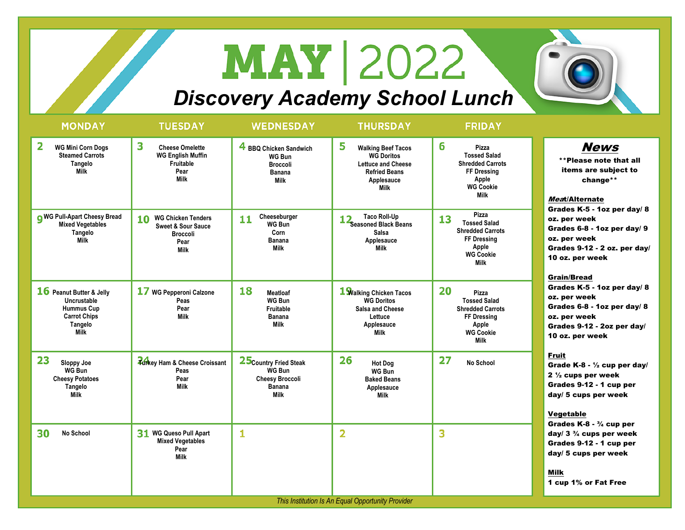## **MAY 2022**

## *Discovery Academy School Lunch*

| <b>MONDAY</b>                                                                                          | <b>TUESDAY</b>                                                                                             | <b>WEDNESDAY</b>                                                                                  | <b>THURSDAY</b>                                                                                                                       | <b>FRIDAY</b>                                                                                                                   |                                                                                                                                                                                                                                                                                                                                                                                                                   |  |  |  |
|--------------------------------------------------------------------------------------------------------|------------------------------------------------------------------------------------------------------------|---------------------------------------------------------------------------------------------------|---------------------------------------------------------------------------------------------------------------------------------------|---------------------------------------------------------------------------------------------------------------------------------|-------------------------------------------------------------------------------------------------------------------------------------------------------------------------------------------------------------------------------------------------------------------------------------------------------------------------------------------------------------------------------------------------------------------|--|--|--|
| 2<br><b>WG Mini Corn Dogs</b><br><b>Steamed Carrots</b><br>Tangelo<br><b>Milk</b>                      | 3<br><b>Cheese Omelette</b><br><b>WG English Muffin</b><br>Fruitable<br>Pear<br><b>Milk</b>                | 4 BBQ Chicken Sandwich<br>WG Bun<br><b>Broccoli</b><br>Banana<br><b>Milk</b>                      | 5<br><b>Walking Beef Tacos</b><br><b>WG Doritos</b><br><b>Lettuce and Cheese</b><br><b>Refried Beans</b><br>Applesauce<br><b>Milk</b> | 6<br>Pizza<br><b>Tossed Salad</b><br><b>Shredded Carrots</b><br>FF Dressing<br>Apple<br><b>WG Cookie</b><br><b>Milk</b>         | <b>News</b><br>**Please note that all<br>items are subject to<br>change**<br>Meat/Alternate<br>Grades K-5 - 1oz per day/ 8<br>oz. per week<br>Grades 6-8 - 1oz per day/ 9<br>oz. per week<br>Grades 9-12 - 2 oz. per day/<br>10 oz. per week<br><b>Grain/Bread</b><br>Grades K-5 - 1oz per day/ 8<br>oz. per week<br>Grades 6-8 - 1oz per day/ 8<br>oz. per week<br>Grades 9-12 - 2oz per day/<br>10 oz. per week |  |  |  |
| <b>O</b> WG Pull-Apart Cheesy Bread<br><b>Mixed Vegetables</b><br>Tangelo<br><b>Milk</b>               | <b>WG Chicken Tenders</b><br>10<br><b>Sweet &amp; Sour Sauce</b><br><b>Broccoli</b><br>Pear<br><b>Milk</b> | Cheeseburger<br>11<br>WG Bun<br>Corn<br><b>Banana</b><br><b>Milk</b>                              | <b>Taco Roll-Up</b><br><b>Seasoned Black Beans</b><br><b>Salsa</b><br>Applesauce<br><b>Milk</b>                                       | Pizza<br>13<br><b>Tossed Salad</b><br><b>Shredded Carrots</b><br>FF Dressing<br>Apple<br><b>WG Cookie</b><br><b>Milk</b>        |                                                                                                                                                                                                                                                                                                                                                                                                                   |  |  |  |
| 16 Peanut Butter & Jelly<br>Uncrustable<br><b>Hummus Cup</b><br><b>Carrot Chips</b><br>Tangelo<br>Milk | 17 WG Pepperoni Calzone<br>Peas<br>Pear<br><b>Milk</b>                                                     | 18<br><b>Meatloaf</b><br><b>WG Bun</b><br>Fruitable<br><b>Banana</b><br><b>Milk</b>               | 1 Walking Chicken Tacos<br><b>WG Doritos</b><br>Salsa and Cheese<br>Lettuce<br>Applesauce<br>Milk                                     | 20<br>Pizza<br><b>Tossed Salad</b><br><b>Shredded Carrots</b><br><b>FF Dressing</b><br>Apple<br><b>WG Cookie</b><br><b>Milk</b> |                                                                                                                                                                                                                                                                                                                                                                                                                   |  |  |  |
| 23<br>Sloppy Joe<br><b>WG Bun</b><br><b>Cheesy Potatoes</b><br>Tangelo<br><b>Milk</b>                  | <b>Turkey Ham &amp; Cheese Croissant</b><br>Peas<br>Pear<br><b>Milk</b>                                    | 25 Country Fried Steak<br><b>WG Bun</b><br><b>Cheesy Broccoli</b><br><b>Banana</b><br><b>Milk</b> | 26<br><b>Hot Dog</b><br>WG Bun<br><b>Baked Beans</b><br>Applesauce<br><b>Milk</b>                                                     | 27<br>No School                                                                                                                 | <b>Fruit</b><br>Grade K-8 - $\frac{1}{2}$ cup per day/<br>2 $\frac{1}{2}$ cups per week<br>Grades 9-12 - 1 cup per<br>day/ 5 cups per week<br>Vegetable<br>Grades $K-8 - \frac{3}{4}$ cup per                                                                                                                                                                                                                     |  |  |  |
| 30<br>No School                                                                                        | 31 WG Queso Pull Apart<br><b>Mixed Vegetables</b><br>Pear<br><b>Milk</b>                                   | 1                                                                                                 | $\overline{\mathbf{2}}$                                                                                                               | 3                                                                                                                               | day/ $3\frac{3}{4}$ cups per week<br>Grades 9-12 - 1 cup per<br>day/ 5 cups per week<br><b>Milk</b><br>1 cup 1% or Fat Free                                                                                                                                                                                                                                                                                       |  |  |  |
| This Institution Is An Equal Opportunity Provider                                                      |                                                                                                            |                                                                                                   |                                                                                                                                       |                                                                                                                                 |                                                                                                                                                                                                                                                                                                                                                                                                                   |  |  |  |